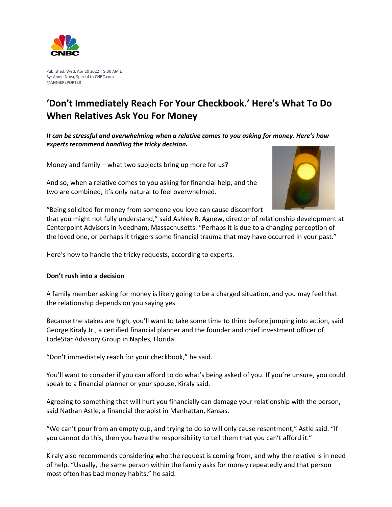

Published: Wed, Apr 20 2022 | 9:30 AM ET By: Annie Nova, Special to CNBC.com @ANNIEREPORTER

## **'Don't Immediately Reach For Your Checkbook.' Here's What To Do When Relatives Ask You For Money**

*It can be stressful and overwhelming when a relative comes to you asking for money. Here's how experts recommend handling the tricky decision.* 

Money and family – what two subjects bring up more for us?

And so, when a relative comes to you asking for financial help, and the two are combined, it's only natural to feel overwhelmed.



"Being solicited for money from someone you love can cause discomfort

that you might not fully understand," said Ashley R. Agnew, director of relationship development at Centerpoint Advisors in Needham, Massachusetts. "Perhaps it is due to a changing perception of the loved one, or perhaps it triggers some financial trauma that may have occurred in your past."

Here's how to handle the tricky requests, according to experts.

## **Don't rush into a decision**

A family member asking for money is likely going to be a charged situation, and you may feel that the relationship depends on you saying yes.

Because the stakes are high, you'll want to take some time to think before jumping into action, said George Kiraly Jr., a certified financial planner and the founder and chief investment officer of LodeStar Advisory Group in Naples, Florida.

"Don't immediately reach for your checkbook," he said.

You'll want to consider if you can afford to do what's being asked of you. If you're unsure, you could speak to a financial planner or your spouse, Kiraly said.

Agreeing to something that will hurt you financially can damage your relationship with the person, said Nathan Astle, a financial therapist in Manhattan, Kansas.

"We can't pour from an empty cup, and trying to do so will only cause resentment," Astle said. "If you cannot do this, then you have the responsibility to tell them that you can't afford it."

Kiraly also recommends considering who the request is coming from, and why the relative is in need of help. "Usually, the same person within the family asks for money repeatedly and that person most often has bad money habits," he said.